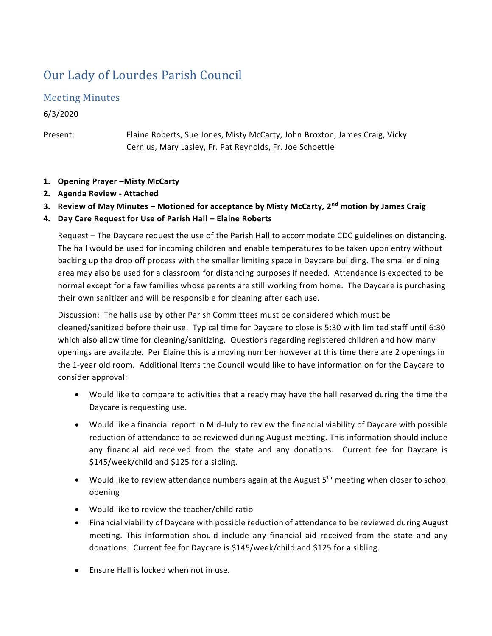# Our Lady of Lourdes Parish Council

# Meeting Minutes

6/3/2020

Present: Elaine Roberts, Sue Jones, Misty McCarty, John Broxton, James Craig, Vicky Cernius, Mary Lasley, Fr. Pat Reynolds, Fr. Joe Schoettle

- **1. Opening Prayer –Misty McCarty**
- **2. Agenda Review - Attached**
- **3. Review of May Minutes – Motioned for acceptance by Misty McCarty, 2nd motion by James Craig**
- **4. Day Care Request for Use of Parish Hall – Elaine Roberts**

Request – The Daycare request the use of the Parish Hall to accommodate CDC guidelines on distancing. The hall would be used for incoming children and enable temperatures to be taken upon entry without backing up the drop off process with the smaller limiting space in Daycare building. The smaller dining area may also be used for a classroom for distancing purposes if needed. Attendance is expected to be normal except for a few families whose parents are still working from home. The Daycare is purchasing their own sanitizer and will be responsible for cleaning after each use.

Discussion: The halls use by other Parish Committees must be considered which must be cleaned/sanitized before their use. Typical time for Daycare to close is 5:30 with limited staff until 6:30 which also allow time for cleaning/sanitizing. Questions regarding registered children and how many openings are available. Per Elaine this is a moving number however at this time there are 2 openings in the 1-year old room. Additional items the Council would like to have information on for the Daycare to consider approval:

- Would like to compare to activities that already may have the hall reserved during the time the Daycare is requesting use.
- Would like a financial report in Mid-July to review the financial viability of Daycare with possible reduction of attendance to be reviewed during August meeting. This information should include any financial aid received from the state and any donations. Current fee for Daycare is \$145/week/child and \$125 for a sibling.
- Would like to review attendance numbers again at the August 5<sup>th</sup> meeting when closer to school opening
- Would like to review the teacher/child ratio
- Financial viability of Daycare with possible reduction of attendance to be reviewed during August meeting. This information should include any financial aid received from the state and any donations. Current fee for Daycare is \$145/week/child and \$125 for a sibling.
- Ensure Hall is locked when not in use.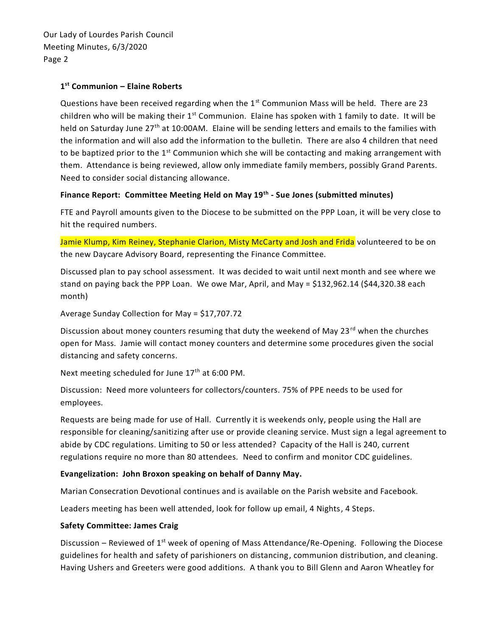## **1 st Communion – Elaine Roberts**

Questions have been received regarding when the  $1<sup>st</sup>$  Communion Mass will be held. There are 23 children who will be making their  $1^{st}$  Communion. Elaine has spoken with 1 family to date. It will be held on Saturday June 27<sup>th</sup> at 10:00AM. Elaine will be sending letters and emails to the families with the information and will also add the information to the bulletin. There are also 4 children that need to be baptized prior to the  $1<sup>st</sup>$  Communion which she will be contacting and making arrangement with them. Attendance is being reviewed, allow only immediate family members, possibly Grand Parents. Need to consider social distancing allowance.

#### **Finance Report: Committee Meeting Held on May 19th - Sue Jones (submitted minutes)**

FTE and Payroll amounts given to the Diocese to be submitted on the PPP Loan, it will be very close to hit the required numbers.

Jamie Klump, Kim Reiney, Stephanie Clarion, Misty McCarty and Josh and Frida volunteered to be on the new Daycare Advisory Board, representing the Finance Committee.

Discussed plan to pay school assessment. It was decided to wait until next month and see where we stand on paying back the PPP Loan. We owe Mar, April, and May = \$132,962.14 (\$44,320.38 each month)

Average Sunday Collection for May = \$17,707.72

Discussion about money counters resuming that duty the weekend of May 23 $^{\text{rd}}$  when the churches open for Mass. Jamie will contact money counters and determine some procedures given the social distancing and safety concerns.

Next meeting scheduled for June  $17<sup>th</sup>$  at 6:00 PM.

Discussion: Need more volunteers for collectors/counters. 75% of PPE needs to be used for employees.

Requests are being made for use of Hall. Currently it is weekends only, people using the Hall are responsible for cleaning/sanitizing after use or provide cleaning service. Must sign a legal agreement to abide by CDC regulations. Limiting to 50 or less attended? Capacity of the Hall is 240, current regulations require no more than 80 attendees. Need to confirm and monitor CDC guidelines.

### **Evangelization: John Broxon speaking on behalf of Danny May.**

Marian Consecration Devotional continues and is available on the Parish website and Facebook.

Leaders meeting has been well attended, look for follow up email, 4 Nights, 4 Steps.

#### **Safety Committee: James Craig**

Discussion – Reviewed of 1<sup>st</sup> week of opening of Mass Attendance/Re-Opening. Following the Diocese guidelines for health and safety of parishioners on distancing, communion distribution, and cleaning. Having Ushers and Greeters were good additions. A thank you to Bill Glenn and Aaron Wheatley for